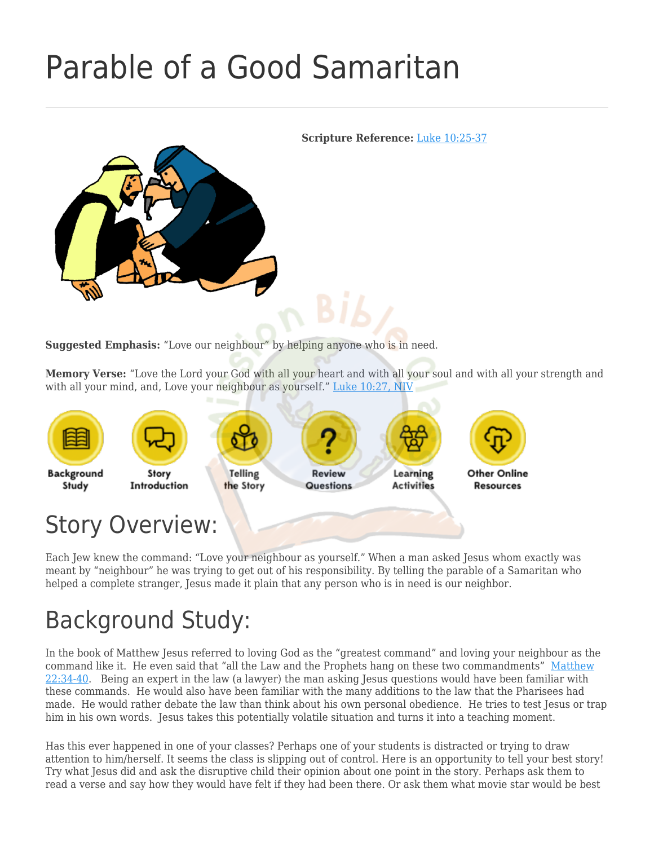# [Parable of a Good Samaritan](https://missionbibleclass.org/new-testament/part1/parables-teachings-of-jesus/parable-of-the-good-samaritan/)

<span id="page-0-0"></span>

**Suggested Emphasis:** "Love our neighbour" by helping anyone who is in need.

**Memory Verse:** "Love the Lord your God with all your heart and with all your soul and with all your strength and with all your mind, and, Love your neighbour as yourself." [Luke 10:27, NIV](https://www.biblegateway.com/passage/?search=Luke+10%3A27&version=NIV)



Each Jew knew the command: "Love your neighbour as yourself." When a man asked Jesus whom exactly was meant by "neighbour" he was trying to get out of his responsibility. By telling the parable of a Samaritan who helped a complete stranger, Jesus made it plain that any person who is in need is our neighbor.

# Background Study:

In the book of Matthew Jesus referred to loving God as the "greatest command" and loving your neighbour as the command like it. He even said that "all the Law and the Prophets hang on these two commandments" [Matthew](https://www.biblegateway.com/passage/?search=Matthew+22%3A34-40&version=NIV) [22:34-40.](https://www.biblegateway.com/passage/?search=Matthew+22%3A34-40&version=NIV) Being an expert in the law (a lawyer) the man asking Jesus questions would have been familiar with these commands. He would also have been familiar with the many additions to the law that the Pharisees had made. He would rather debate the law than think about his own personal obedience. He tries to test Jesus or trap him in his own words. Jesus takes this potentially volatile situation and turns it into a teaching moment.

Has this ever happened in one of your classes? Perhaps one of your students is distracted or trying to draw attention to him/herself. It seems the class is slipping out of control. Here is an opportunity to tell your best story! Try what Jesus did and ask the disruptive child their opinion about one point in the story. Perhaps ask them to read a verse and say how they would have felt if they had been there. Or ask them what movie star would be best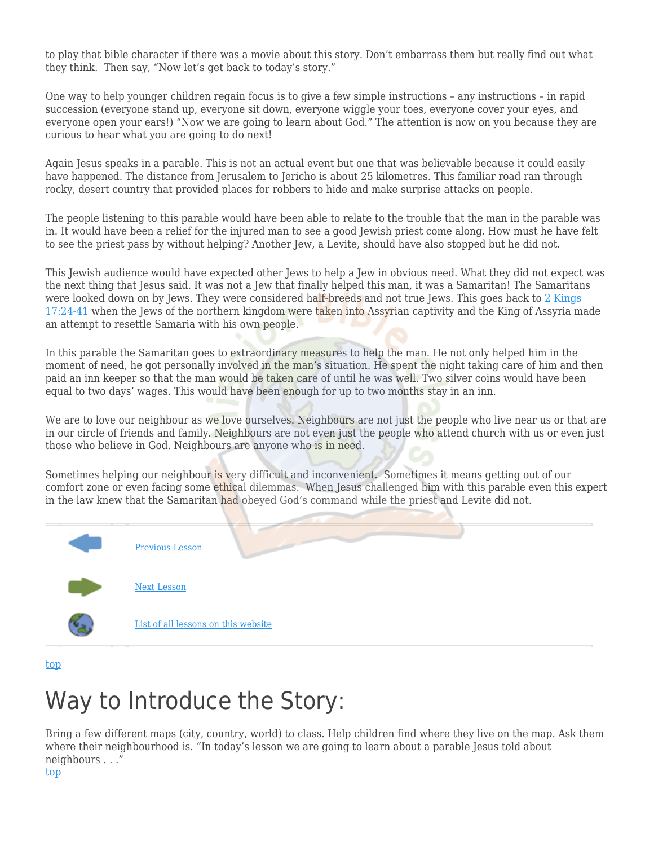to play that bible character if there was a movie about this story. Don't embarrass them but really find out what they think. Then say, "Now let's get back to today's story."

One way to help younger children regain focus is to give a few simple instructions – any instructions – in rapid succession (everyone stand up, everyone sit down, everyone wiggle your toes, everyone cover your eyes, and everyone open your ears!) "Now we are going to learn about God." The attention is now on you because they are curious to hear what you are going to do next!

Again Jesus speaks in a parable. This is not an actual event but one that was believable because it could easily have happened. The distance from Jerusalem to Jericho is about 25 kilometres. This familiar road ran through rocky, desert country that provided places for robbers to hide and make surprise attacks on people.

The people listening to this parable would have been able to relate to the trouble that the man in the parable was in. It would have been a relief for the injured man to see a good Jewish priest come along. How must he have felt to see the priest pass by without helping? Another Jew, a Levite, should have also stopped but he did not.

This Jewish audience would have expected other Jews to help a Jew in obvious need. What they did not expect was the next thing that Jesus said. It was not a Jew that finally helped this man, it was a Samaritan! The Samaritans were looked down on by Jews. They were considered half-breeds and not true Jews. This goes back to [2 Kings](https://www.biblegateway.com/passage/?search=2+Kings+17%3A24-41&version=NIV) [17:24-41](https://www.biblegateway.com/passage/?search=2+Kings+17%3A24-41&version=NIV) when the Jews of the northern kingdom were taken into Assyrian captivity and the King of Assyria made an attempt to resettle Samaria with his own people.

In this parable the Samaritan goes to extraordinary measures to help the man. He not only helped him in the moment of need, he got personally involved in the man's situation. He spent the night taking care of him and then paid an inn keeper so that the man would be taken care of until he was well. Two silver coins would have been equal to two days' wages. This would have been enough for up to two months stay in an inn.

We are to love our neighbour as we love ourselves. Neighbours are not just the people who live near us or that are in our circle of friends and family. Neighbours are not even just the people who attend church with us or even just those who believe in God. Neighbours are anyone who is in need.

Sometimes helping our neighbour is very difficult and inconvenient. Sometimes it means getting out of our comfort zone or even facing some ethical dilemmas. When Jesus challenged him with this parable even this expert in the law knew that the Samaritan had obeyed God's command while the priest and Levite did not.



[top](#page-0-0)

#### Way to Introduce the Story:

Bring a few different maps (city, country, world) to class. Help children find where they live on the map. Ask them where their neighbourhood is. "In today's lesson we are going to learn about a parable Jesus told about neighbours . . ."

#### [top](#page-0-0)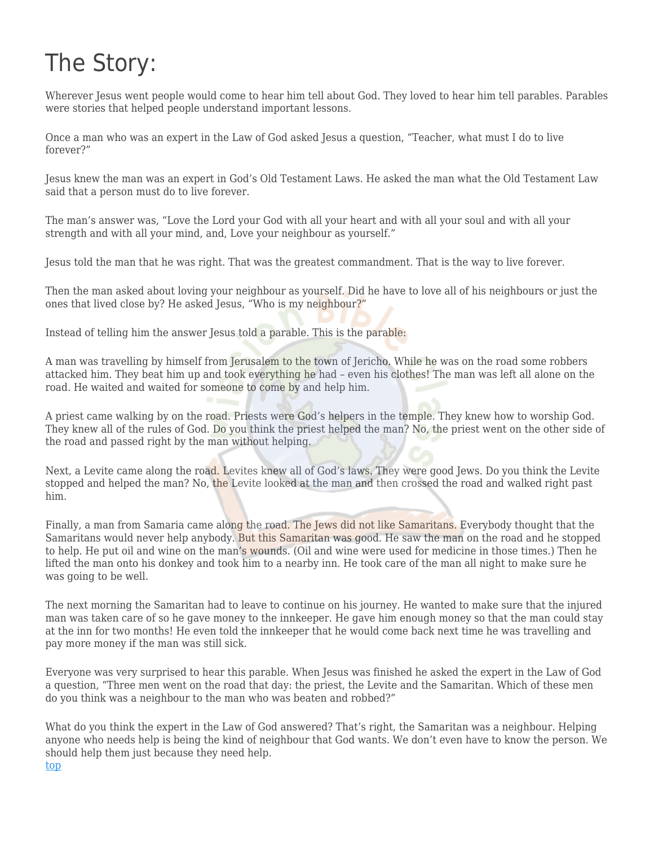### The Story:

Wherever Jesus went people would come to hear him tell about God. They loved to hear him tell parables. Parables were stories that helped people understand important lessons.

Once a man who was an expert in the Law of God asked Jesus a question, "Teacher, what must I do to live forever?"

Jesus knew the man was an expert in God's Old Testament Laws. He asked the man what the Old Testament Law said that a person must do to live forever.

The man's answer was, "Love the Lord your God with all your heart and with all your soul and with all your strength and with all your mind, and, Love your neighbour as yourself."

Jesus told the man that he was right. That was the greatest commandment. That is the way to live forever.

Then the man asked about loving your neighbour as yourself. Did he have to love all of his neighbours or just the ones that lived close by? He asked Jesus, "Who is my neighbour?"

Instead of telling him the answer Jesus told a parable. This is the parable:

A man was travelling by himself from Jerusalem to the town of Jericho. While he was on the road some robbers attacked him. They beat him up and took everything he had – even his clothes! The man was left all alone on the road. He waited and waited for someone to come by and help him.

A priest came walking by on the road. Priests were God's helpers in the temple. They knew how to worship God. They knew all of the rules of God. Do you think the priest helped the man? No, the priest went on the other side of the road and passed right by the man without helping.

Next, a Levite came along the road. Levites knew all of God's laws. They were good Jews. Do you think the Levite stopped and helped the man? No, the Levite looked at the man and then crossed the road and walked right past him.

Finally, a man from Samaria came along the road. The Jews did not like Samaritans. Everybody thought that the Samaritans would never help anybody. But this Samaritan was good. He saw the man on the road and he stopped to help. He put oil and wine on the man's wounds. (Oil and wine were used for medicine in those times.) Then he lifted the man onto his donkey and took him to a nearby inn. He took care of the man all night to make sure he was going to be well.

The next morning the Samaritan had to leave to continue on his journey. He wanted to make sure that the injured man was taken care of so he gave money to the innkeeper. He gave him enough money so that the man could stay at the inn for two months! He even told the innkeeper that he would come back next time he was travelling and pay more money if the man was still sick.

Everyone was very surprised to hear this parable. When Jesus was finished he asked the expert in the Law of God a question, "Three men went on the road that day: the priest, the Levite and the Samaritan. Which of these men do you think was a neighbour to the man who was beaten and robbed?"

What do you think the expert in the Law of God answered? That's right, the Samaritan was a neighbour. Helping anyone who needs help is being the kind of neighbour that God wants. We don't even have to know the person. We should help them just because they need help.

[top](#page-0-0)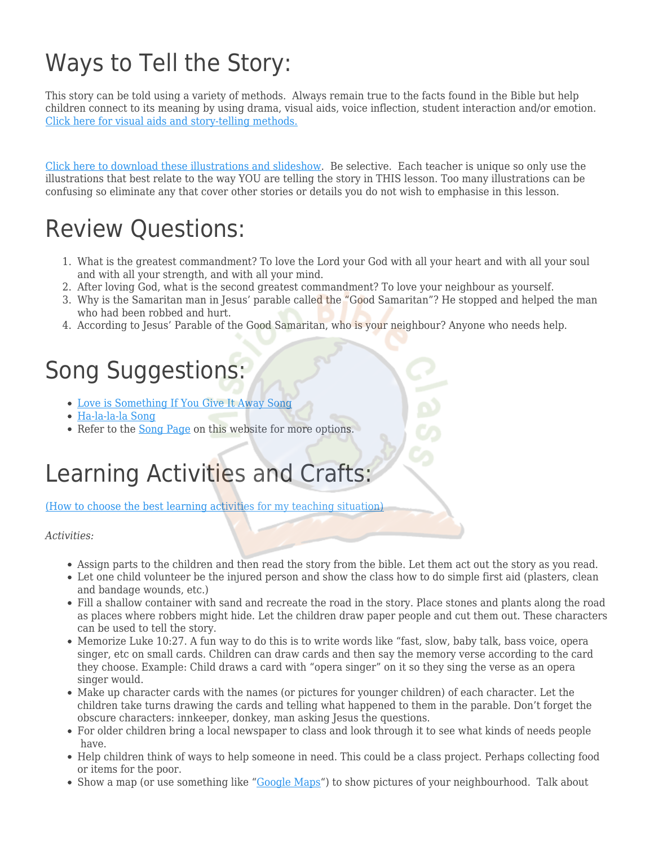### Ways to Tell the Story:

This story can be told using a variety of methods. Always remain true to the facts found in the Bible but help children connect to its meaning by using drama, visual aids, voice inflection, student interaction and/or emotion. [Click here for visual aids and story-telling methods.](https://missionbibleclass.org/bright-ideas/visual-aids/)

[Click here to download these illustrations and slideshow.](http://www.freebibleimages.org/illustrations/good-samaritan/) Be selective. Each teacher is unique so only use the illustrations that best relate to the way YOU are telling the story in THIS lesson. Too many illustrations can be confusing so eliminate any that cover other stories or details you do not wish to emphasise in this lesson.

#### Review Questions:

- 1. What is the greatest commandment? To love the Lord your God with all your heart and with all your soul and with all your strength, and with all your mind.
- 2. After loving God, what is the second greatest commandment? To love your neighbour as yourself.
- 3. Why is the Samaritan man in Jesus' parable called the "Good Samaritan"? He stopped and helped the man who had been robbed and hurt.
- 4. According to Jesus' Parable of the Good Samaritan, who is your neighbour? Anyone who needs help.

#### Song Suggestions:

- [Love is Something If You Give It Away Song](https://missionbibleclass.org/songs/english-songs/anytime-songs/love-is-something-if-you-give-it-away-song/)
- [Ha-la-la-la Song](https://missionbibleclass.org/songs/english-songs/anytime-songs/ha-la-la-la/)
- Refer to the [Song Page](https://missionbibleclass.org/songs/) on this website for more options.

# Learning Activities and Crafts:

[\(How to choose the best learning activities for my teaching situation\)](http://missionbibleclass.org/how-to-plan-a-bible-class/how-to-choose-learning-activities/)

*Activities:*

- Assign parts to the children and then read the story from the bible. Let them act out the story as you read.
- Let one child volunteer be the injured person and show the class how to do simple first aid (plasters, clean and bandage wounds, etc.)
- Fill a shallow container with sand and recreate the road in the story. Place stones and plants along the road as places where robbers might hide. Let the children draw paper people and cut them out. These characters can be used to tell the story.
- Memorize Luke 10:27. A fun way to do this is to write words like "fast, slow, baby talk, bass voice, opera singer, etc on small cards. Children can draw cards and then say the memory verse according to the card they choose. Example: Child draws a card with "opera singer" on it so they sing the verse as an opera singer would.
- Make up character cards with the names (or pictures for younger children) of each character. Let the children take turns drawing the cards and telling what happened to them in the parable. Don't forget the obscure characters: innkeeper, donkey, man asking Jesus the questions.
- For older children bring a local newspaper to class and look through it to see what kinds of needs people have.
- Help children think of ways to help someone in need. This could be a class project. Perhaps collecting food or items for the poor.
- Show a map (or use something like ["Google Maps](https://maps.google.com/)") to show pictures of your neighbourhood. Talk about